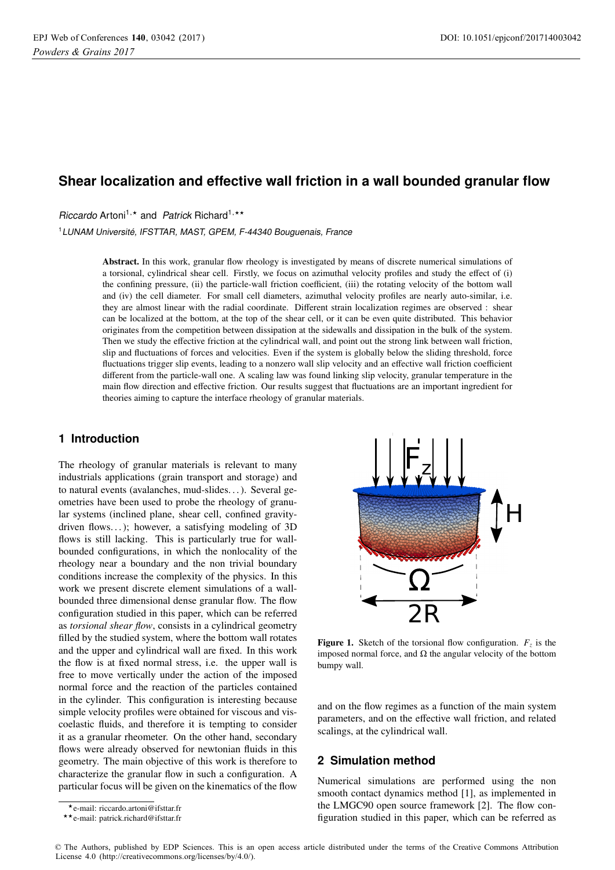# **Shear localization and effective wall friction in a wall bounded granular flow**

Riccardo Artoni<sup>1,\*</sup> and Patrick Richard<sup>1,\*\*</sup>

<sup>1</sup>LUNAM Université, IFSTTAR, MAST, GPEM, F-44340 Bouguenais, France

Abstract. In this work, granular flow rheology is investigated by means of discrete numerical simulations of a torsional, cylindrical shear cell. Firstly, we focus on azimuthal velocity profiles and study the effect of (i) the confining pressure, (ii) the particle-wall friction coefficient, (iii) the rotating velocity of the bottom wall and (iv) the cell diameter. For small cell diameters, azimuthal velocity profiles are nearly auto-similar, i.e. they are almost linear with the radial coordinate. Different strain localization regimes are observed : shear can be localized at the bottom, at the top of the shear cell, or it can be even quite distributed. This behavior originates from the competition between dissipation at the sidewalls and dissipation in the bulk of the system. Then we study the effective friction at the cylindrical wall, and point out the strong link between wall friction, slip and fluctuations of forces and velocities. Even if the system is globally below the sliding threshold, force fluctuations trigger slip events, leading to a nonzero wall slip velocity and an effective wall friction coefficient different from the particle-wall one. A scaling law was found linking slip velocity, granular temperature in the main flow direction and effective friction. Our results suggest that fluctuations are an important ingredient for theories aiming to capture the interface rheology of granular materials.

# **1 Introduction**

The rheology of granular materials is relevant to many industrials applications (grain transport and storage) and to natural events (avalanches, mud-slides. . . ). Several geometries have been used to probe the rheology of granular systems (inclined plane, shear cell, confined gravitydriven flows...); however, a satisfying modeling of  $3D$ flows is still lacking. This is particularly true for wallbounded configurations, in which the nonlocality of the rheology near a boundary and the non trivial boundary conditions increase the complexity of the physics. In this work we present discrete element simulations of a wallbounded three dimensional dense granular flow. The flow configuration studied in this paper, which can be referred as *torsional shear flow*, consists in a cylindrical geometry filled by the studied system, where the bottom wall rotates and the upper and cylindrical wall are fixed. In this work the flow is at fixed normal stress, i.e. the upper wall is free to move vertically under the action of the imposed normal force and the reaction of the particles contained in the cylinder. This configuration is interesting because simple velocity profiles were obtained for viscous and viscoelastic fluids, and therefore it is tempting to consider it as a granular rheometer. On the other hand, secondary flows were already observed for newtonian fluids in this geometry. The main objective of this work is therefore to characterize the granular flow in such a configuration. A particular focus will be given on the kinematics of the flow



**Figure 1.** Sketch of the torsional flow configuration.  $F<sub>z</sub>$  is the imposed normal force, and Ω the angular velocity of the bottom bumpy wall.

and on the flow regimes as a function of the main system parameters, and on the effective wall friction, and related scalings, at the cylindrical wall.

# **2 Simulation method**

Numerical simulations are performed using the non smooth contact dynamics method [1], as implemented in the LMGC90 open source framework [2]. The flow configuration studied in this paper, which can be referred as

<sup>-</sup>e-mail: riccardo.artoni@ifsttar.fr

<sup>-</sup>-e-mail: patrick.richard@ifsttar.fr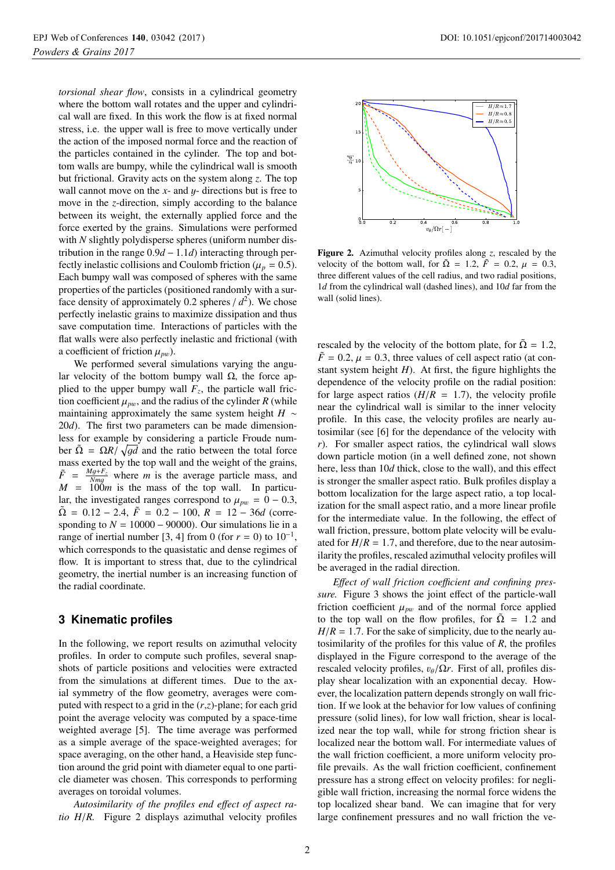*torsional shear flow*, consists in a cylindrical geometry where the bottom wall rotates and the upper and cylindrical wall are fixed. In this work the flow is at fixed normal stress, i.e. the upper wall is free to move vertically under the action of the imposed normal force and the reaction of the particles contained in the cylinder. The top and bottom walls are bumpy, while the cylindrical wall is smooth but frictional. Gravity acts on the system along *z*. The top wall cannot move on the  $x$ - and  $y$ - directions but is free to move in the *z*-direction, simply according to the balance between its weight, the externally applied force and the force exerted by the grains. Simulations were performed with *N* slightly polydisperse spheres (uniform number distribution in the range 0.9*<sup>d</sup>* <sup>−</sup> <sup>1</sup>.1*d*) interacting through perfectly inelastic collisions and Coulomb friction ( $\mu_p = 0.5$ ). Each bumpy wall was composed of spheres with the same properties of the particles (positioned randomly with a surface density of approximately 0.2 spheres  $/d^2$ ). We chose perfectly inelastic grains to maximize dissipation and thus save computation time. Interactions of particles with the flat walls were also perfectly inelastic and frictional (with a coefficient of friction  $\mu_{pw}$ ).

We performed several simulations varying the angular velocity of the bottom bumpy wall  $Ω$ , the force applied to the upper bumpy wall  $F_z$ , the particle wall friction coefficient  $\mu_{pw}$ , and the radius of the cylinder *R* (while maintaining approximately the same system height *H* ∼ 20*d*). The first two parameters can be made dimensionless for example by considering a particle Froude number  $\tilde{\Omega} = \Omega R / \sqrt{gd}$  and the ratio between the total force mass exerted by the top wall and the weight of the grains,  $\tilde{F} = \frac{Mg + F_z}{Nm}$  where *m* is the average particle mass, and  $M = N_{mg}$  where *M* is the average particle mass, and  $M = 100m$  is the mass of the top wall. In particular, the investigated ranges correspond to  $\mu_{pw} = 0 - 0.3$ ,  $\tilde{\Omega} = 0.12 - 2.4$ ,  $\tilde{F} = 0.2 - 100$ ,  $R = 12 - 36d$  (corresponding to  $N = 10000 - 90000$ . Our simulations lie in a range of inertial number [3, 4] from 0 (for  $r = 0$ ) to 10<sup>-1</sup>, which corresponds to the quasistatic and dense regimes of flow. It is important to stress that, due to the cylindrical geometry, the inertial number is an increasing function of the radial coordinate.

# **3 Kinematic profiles**

In the following, we report results on azimuthal velocity profiles. In order to compute such profiles, several snapshots of particle positions and velocities were extracted from the simulations at different times. Due to the axial symmetry of the flow geometry, averages were computed with respect to a grid in the (*r*,*z*)-plane; for each grid point the average velocity was computed by a space-time weighted average [5]. The time average was performed as a simple average of the space-weighted averages; for space averaging, on the other hand, a Heaviside step function around the grid point with diameter equal to one particle diameter was chosen. This corresponds to performing averages on toroidal volumes.

*Autosimilarity of the profiles end e*ff*ect of aspect ratio H*/*R.* Figure 2 displays azimuthal velocity profiles



Figure 2. Azimuthal velocity profiles along *<sup>z</sup>*, rescaled by the velocity of the bottom wall, for  $\tilde{\Omega} = 1.2$ ,  $\tilde{F} = 0.2$ ,  $\mu = 0.3$ , three different values of the cell radius, and two radial positions, 1*d* from the cylindrical wall (dashed lines), and 10*d* far from the wall (solid lines).

rescaled by the velocity of the bottom plate, for  $\tilde{\Omega} = 1.2$ ,  $\tilde{F} = 0.2$ ,  $\mu = 0.3$ , three values of cell aspect ratio (at constant system height  $H$ ). At first, the figure highlights the dependence of the velocity profile on the radial position: for large aspect ratios  $(H/R = 1.7)$ , the velocity profile near the cylindrical wall is similar to the inner velocity profile. In this case, the velocity profiles are nearly autosimilar (see [6] for the dependance of the velocity with *r*). For smaller aspect ratios, the cylindrical wall slows down particle motion (in a well defined zone, not shown here, less than 10*d* thick, close to the wall), and this effect is stronger the smaller aspect ratio. Bulk profiles display a bottom localization for the large aspect ratio, a top localization for the small aspect ratio, and a more linear profile for the intermediate value. In the following, the effect of wall friction, pressure, bottom plate velocity will be evaluated for  $H/R = 1.7$ , and therefore, due to the near autosimilarity the profiles, rescaled azimuthal velocity profiles will be averaged in the radial direction.

Effect of wall friction coefficient and confining pres*sure.* Figure 3 shows the joint effect of the particle-wall friction coefficient  $\mu_{pw}$  and of the normal force applied to the top wall on the flow profiles, for  $\tilde{\Omega} = 1.2$  and  $H/R = 1.7$ . For the sake of simplicity, due to the nearly autosimilarity of the profiles for this value of *R*, the profiles displayed in the Figure correspond to the average of the rescaled velocity profiles,  $v_{\theta}/\Omega r$ . First of all, profiles display shear localization with an exponential decay. However, the localization pattern depends strongly on wall friction. If we look at the behavior for low values of confining pressure (solid lines), for low wall friction, shear is localized near the top wall, while for strong friction shear is localized near the bottom wall. For intermediate values of the wall friction coefficient, a more uniform velocity profile prevails. As the wall friction coefficient, confinement pressure has a strong effect on velocity profiles: for negligible wall friction, increasing the normal force widens the top localized shear band. We can imagine that for very large confinement pressures and no wall friction the ve-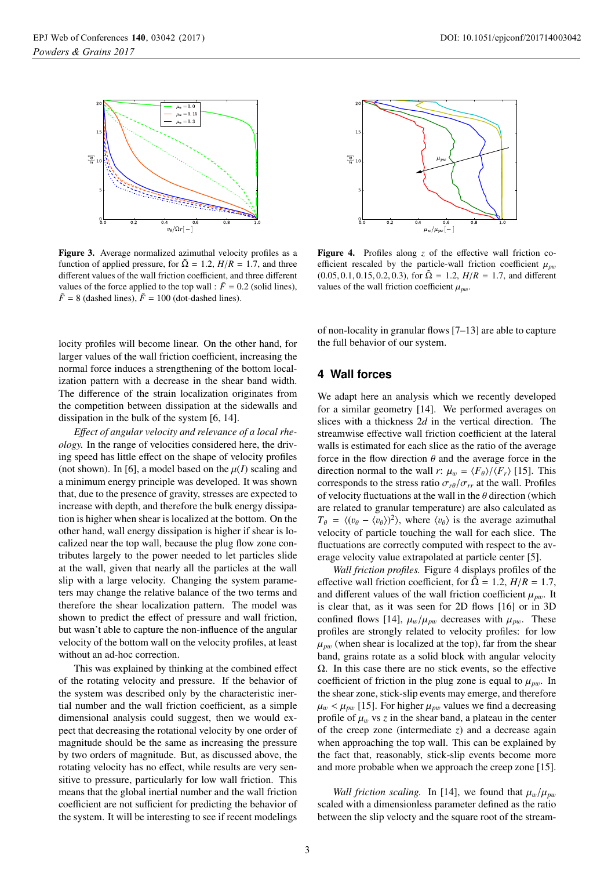

Figure 3. Average normalized azimuthal velocity profiles as a function of applied pressure, for  $\tilde{\Omega} = 1.2$ ,  $H/R = 1.7$ , and three different values of the wall friction coefficient, and three different values of the force applied to the top wall :  $\tilde{F} = 0.2$  (solid lines),  $\tilde{F}$  = 8 (dashed lines),  $\tilde{F}$  = 100 (dot-dashed lines).

locity profiles will become linear. On the other hand, for larger values of the wall friction coefficient, increasing the normal force induces a strengthening of the bottom localization pattern with a decrease in the shear band width. The difference of the strain localization originates from the competition between dissipation at the sidewalls and dissipation in the bulk of the system [6, 14].

*E*ff*ect of angular velocity and relevance of a local rheology.* In the range of velocities considered here, the driving speed has little effect on the shape of velocity profiles (not shown). In [6], a model based on the  $\mu(I)$  scaling and a minimum energy principle was developed. It was shown that, due to the presence of gravity, stresses are expected to increase with depth, and therefore the bulk energy dissipation is higher when shear is localized at the bottom. On the other hand, wall energy dissipation is higher if shear is localized near the top wall, because the plug flow zone contributes largely to the power needed to let particles slide at the wall, given that nearly all the particles at the wall slip with a large velocity. Changing the system parameters may change the relative balance of the two terms and therefore the shear localization pattern. The model was shown to predict the effect of pressure and wall friction, but wasn't able to capture the non-influence of the angular velocity of the bottom wall on the velocity profiles, at least without an ad-hoc correction.

This was explained by thinking at the combined effect of the rotating velocity and pressure. If the behavior of the system was described only by the characteristic inertial number and the wall friction coefficient, as a simple dimensional analysis could suggest, then we would expect that decreasing the rotational velocity by one order of magnitude should be the same as increasing the pressure by two orders of magnitude. But, as discussed above, the rotating velocity has no effect, while results are very sensitive to pressure, particularly for low wall friction. This means that the global inertial number and the wall friction coefficient are not sufficient for predicting the behavior of the system. It will be interesting to see if recent modelings



Figure 4. Profiles along *z* of the effective wall friction coefficient rescaled by the particle-wall friction coefficient  $\mu_{pw}$  $(0.05, 0.1, 0.15, 0.2, 0.3)$ , for  $\tilde{\Omega} = 1.2$ ,  $H/R = 1.7$ , and different values of the wall friction coefficient  $\mu_{\textit{nw}}$ .

of non-locality in granular flows [7–13] are able to capture the full behavior of our system.

#### **4 Wall forces**

We adapt here an analysis which we recently developed for a similar geometry [14]. We performed averages on slices with a thickness 2*d* in the vertical direction. The streamwise effective wall friction coefficient at the lateral walls is estimated for each slice as the ratio of the average force in the flow direction  $\theta$  and the average force in the direction normal to the wall *r*:  $\mu_w = \langle F_\theta \rangle / \langle F_r \rangle$  [15]. This corresponds to the stress ratio  $\sigma_{r\theta}/\sigma_{rr}$  at the wall. Profiles of velocity fluctuations at the wall in the  $\theta$  direction (which are related to granular temperature) are also calculated as  $T_{\theta} = \langle (v_{\theta} - \langle v_{\theta} \rangle)^2 \rangle$ , where  $\langle v_{\theta} \rangle$  is the average azimuthal<br>velocity of particle touching the wall for each slice. The velocity of particle touching the wall for each slice. The fluctuations are correctly computed with respect to the average velocity value extrapolated at particle center [5].

*Wall friction profiles.* Figure 4 displays profiles of the effective wall friction coefficient, for  $\overline{Q} = 1.2$ ,  $H/R = 1.7$ , and different values of the wall friction coefficient  $\mu_{pw}$ . It is clear that, as it was seen for 2D flows [16] or in 3D confined flows [14],  $\mu_w/\mu_{pw}$  decreases with  $\mu_{pw}$ . These profiles are strongly related to velocity profiles: for low  $\mu_{pw}$  (when shear is localized at the top), far from the shear band, grains rotate as a solid block with angular velocity Ω. In this case there are no stick events, so the effective coefficient of friction in the plug zone is equal to  $\mu_{pw}$ . In the shear zone, stick-slip events may emerge, and therefore  $\mu_w < \mu_{pw}$  [15]. For higher  $\mu_{pw}$  values we find a decreasing profile of  $\mu_w$  vs *z* in the shear band, a plateau in the center of the creep zone (intermediate *z*) and a decrease again when approaching the top wall. This can be explained by the fact that, reasonably, stick-slip events become more and more probable when we approach the creep zone [15].

*Wall friction scaling.* In [14], we found that  $\mu_w/\mu_{pw}$ scaled with a dimensionless parameter defined as the ratio between the slip velocty and the square root of the stream-